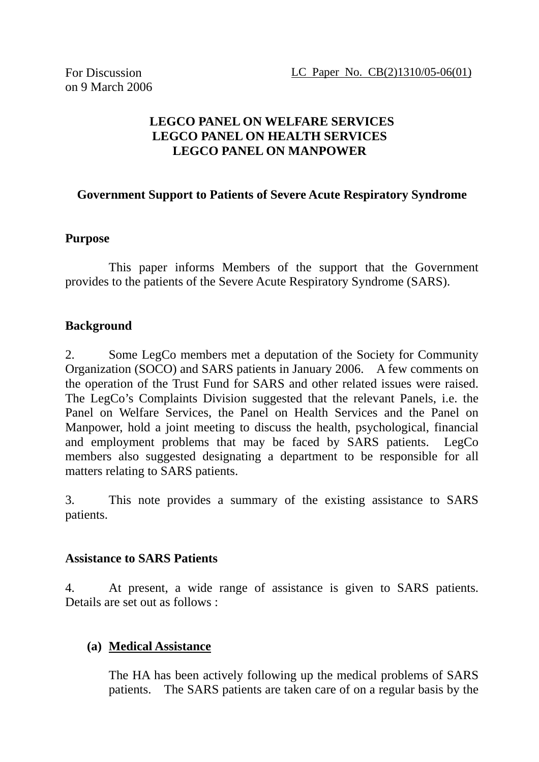# **LEGCO PANEL ON WELFARE SERVICES LEGCO PANEL ON HEALTH SERVICES LEGCO PANEL ON MANPOWER**

### **Government Support to Patients of Severe Acute Respiratory Syndrome**

#### **Purpose**

 This paper informs Members of the support that the Government provides to the patients of the Severe Acute Respiratory Syndrome (SARS).

#### **Background**

2. Some LegCo members met a deputation of the Society for Community Organization (SOCO) and SARS patients in January 2006. A few comments on the operation of the Trust Fund for SARS and other related issues were raised. The LegCo's Complaints Division suggested that the relevant Panels, i.e. the Panel on Welfare Services, the Panel on Health Services and the Panel on Manpower, hold a joint meeting to discuss the health, psychological, financial and employment problems that may be faced by SARS patients. LegCo members also suggested designating a department to be responsible for all matters relating to SARS patients.

3. This note provides a summary of the existing assistance to SARS patients.

#### **Assistance to SARS Patients**

4. At present, a wide range of assistance is given to SARS patients. Details are set out as follows :

#### **(a) Medical Assistance**

The HA has been actively following up the medical problems of SARS patients. The SARS patients are taken care of on a regular basis by the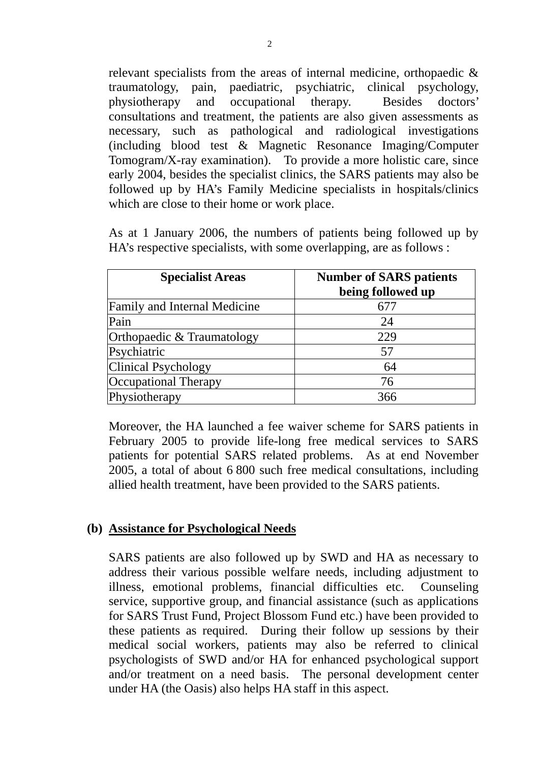relevant specialists from the areas of internal medicine, orthopaedic & traumatology, pain, paediatric, psychiatric, clinical psychology, physiotherapy and occupational therapy. Besides doctors' consultations and treatment, the patients are also given assessments as necessary, such as pathological and radiological investigations (including blood test & Magnetic Resonance Imaging/Computer Tomogram/X-ray examination). To provide a more holistic care, since early 2004, besides the specialist clinics, the SARS patients may also be followed up by HA's Family Medicine specialists in hospitals/clinics which are close to their home or work place.

As at 1 January 2006, the numbers of patients being followed up by HA's respective specialists, with some overlapping, are as follows :

| <b>Specialist Areas</b>             | <b>Number of SARS patients</b><br>being followed up |
|-------------------------------------|-----------------------------------------------------|
| <b>Family and Internal Medicine</b> | 67′                                                 |
| Pain                                | 24                                                  |
| Orthopaedic & Traumatology          | 229                                                 |
| Psychiatric                         | 57                                                  |
| <b>Clinical Psychology</b>          | 64                                                  |
| <b>Occupational Therapy</b>         | 76                                                  |
| Physiotherapy                       | 366                                                 |

Moreover, the HA launched a fee waiver scheme for SARS patients in February 2005 to provide life-long free medical services to SARS patients for potential SARS related problems. As at end November 2005, a total of about 6 800 such free medical consultations, including allied health treatment, have been provided to the SARS patients.

#### **(b) Assistance for Psychological Needs**

SARS patients are also followed up by SWD and HA as necessary to address their various possible welfare needs, including adjustment to illness, emotional problems, financial difficulties etc. Counseling service, supportive group, and financial assistance (such as applications for SARS Trust Fund, Project Blossom Fund etc.) have been provided to these patients as required. During their follow up sessions by their medical social workers, patients may also be referred to clinical psychologists of SWD and/or HA for enhanced psychological support and/or treatment on a need basis. The personal development center under HA (the Oasis) also helps HA staff in this aspect.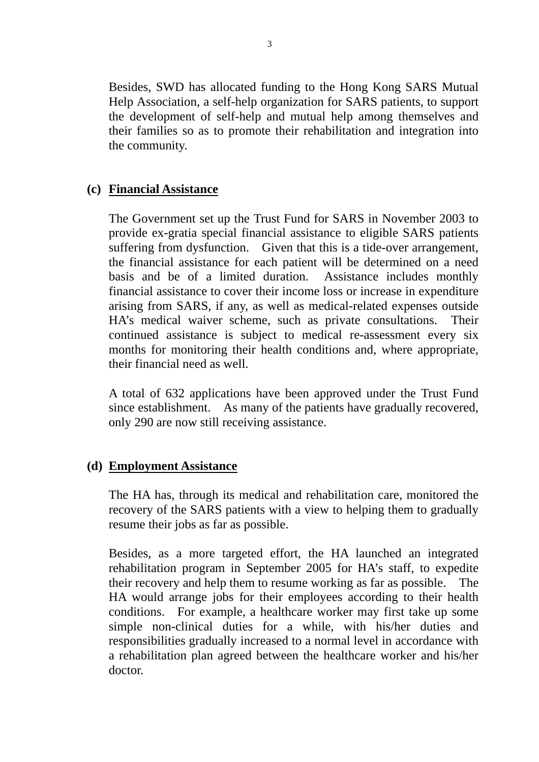Besides, SWD has allocated funding to the Hong Kong SARS Mutual Help Association, a self-help organization for SARS patients, to support the development of self-help and mutual help among themselves and their families so as to promote their rehabilitation and integration into the community.

# **(c) Financial Assistance**

The Government set up the Trust Fund for SARS in November 2003 to provide ex-gratia special financial assistance to eligible SARS patients suffering from dysfunction. Given that this is a tide-over arrangement, the financial assistance for each patient will be determined on a need basis and be of a limited duration. Assistance includes monthly financial assistance to cover their income loss or increase in expenditure arising from SARS, if any, as well as medical-related expenses outside HA's medical waiver scheme, such as private consultations. Their continued assistance is subject to medical re-assessment every six months for monitoring their health conditions and, where appropriate, their financial need as well.

A total of 632 applications have been approved under the Trust Fund since establishment. As many of the patients have gradually recovered, only 290 are now still receiving assistance.

## **(d) Employment Assistance**

The HA has, through its medical and rehabilitation care, monitored the recovery of the SARS patients with a view to helping them to gradually resume their jobs as far as possible.

Besides, as a more targeted effort, the HA launched an integrated rehabilitation program in September 2005 for HA's staff, to expedite their recovery and help them to resume working as far as possible. The HA would arrange jobs for their employees according to their health conditions. For example, a healthcare worker may first take up some simple non-clinical duties for a while, with his/her duties and responsibilities gradually increased to a normal level in accordance with a rehabilitation plan agreed between the healthcare worker and his/her doctor.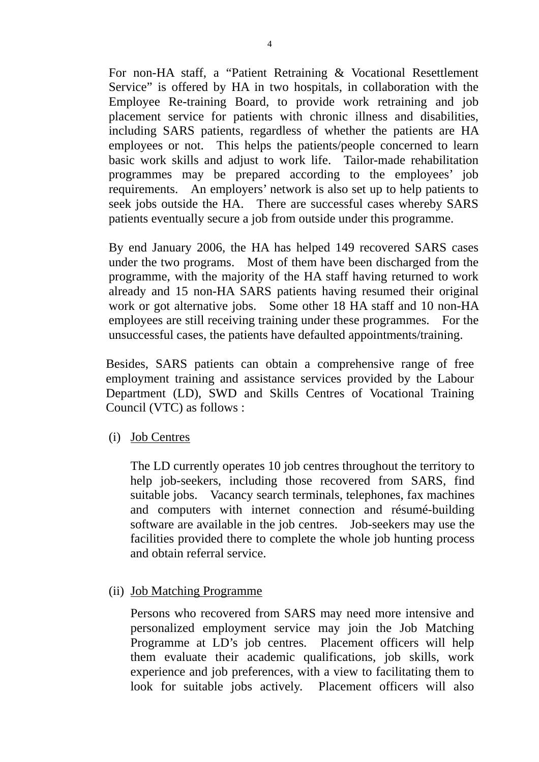For non-HA staff, a "Patient Retraining & Vocational Resettlement Service" is offered by HA in two hospitals, in collaboration with the Employee Re-training Board, to provide work retraining and job placement service for patients with chronic illness and disabilities, including SARS patients, regardless of whether the patients are HA employees or not. This helps the patients/people concerned to learn basic work skills and adjust to work life. Tailor-made rehabilitation programmes may be prepared according to the employees' job requirements. An employers' network is also set up to help patients to seek jobs outside the HA. There are successful cases whereby SARS patients eventually secure a job from outside under this programme.

By end January 2006, the HA has helped 149 recovered SARS cases under the two programs. Most of them have been discharged from the programme, with the majority of the HA staff having returned to work already and 15 non-HA SARS patients having resumed their original work or got alternative jobs. Some other 18 HA staff and 10 non-HA employees are still receiving training under these programmes. For the unsuccessful cases, the patients have defaulted appointments/training.

 Besides, SARS patients can obtain a comprehensive range of free employment training and assistance services provided by the Labour Department (LD), SWD and Skills Centres of Vocational Training Council (VTC) as follows :

(i) Job Centres

 The LD currently operates 10 job centres throughout the territory to help job-seekers, including those recovered from SARS, find suitable jobs. Vacancy search terminals, telephones, fax machines and computers with internet connection and résumé-building software are available in the job centres. Job-seekers may use the facilities provided there to complete the whole job hunting process and obtain referral service.

(ii) Job Matching Programme

Persons who recovered from SARS may need more intensive and personalized employment service may join the Job Matching Programme at LD's job centres. Placement officers will help them evaluate their academic qualifications, job skills, work experience and job preferences, with a view to facilitating them to look for suitable jobs actively. Placement officers will also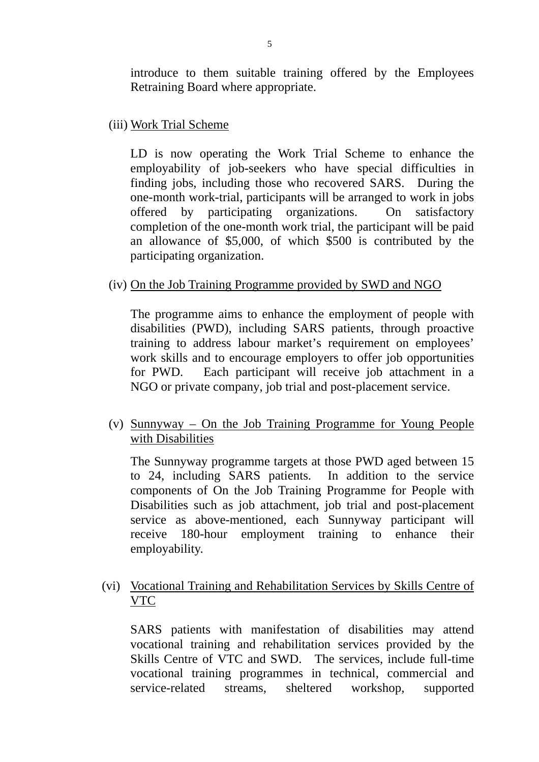introduce to them suitable training offered by the Employees Retraining Board where appropriate.

(iii) Work Trial Scheme

 LD is now operating the Work Trial Scheme to enhance the employability of job-seekers who have special difficulties in finding jobs, including those who recovered SARS. During the one-month work-trial, participants will be arranged to work in jobs offered by participating organizations. On satisfactory completion of the one-month work trial, the participant will be paid an allowance of \$5,000, of which \$500 is contributed by the participating organization.

(iv) On the Job Training Programme provided by SWD and NGO

The programme aims to enhance the employment of people with disabilities (PWD), including SARS patients, through proactive training to address labour market's requirement on employees' work skills and to encourage employers to offer job opportunities for PWD. Each participant will receive job attachment in a NGO or private company, job trial and post-placement service.

(v) Sunnyway – On the Job Training Programme for Young People with Disabilities

The Sunnyway programme targets at those PWD aged between 15 to 24, including SARS patients. In addition to the service components of On the Job Training Programme for People with Disabilities such as job attachment, job trial and post-placement service as above-mentioned, each Sunnyway participant will receive 180-hour employment training to enhance their employability.

(vi) Vocational Training and Rehabilitation Services by Skills Centre of VTC

 SARS patients with manifestation of disabilities may attend vocational training and rehabilitation services provided by the Skills Centre of VTC and SWD. The services, include full-time vocational training programmes in technical, commercial and service-related streams, sheltered workshop, supported